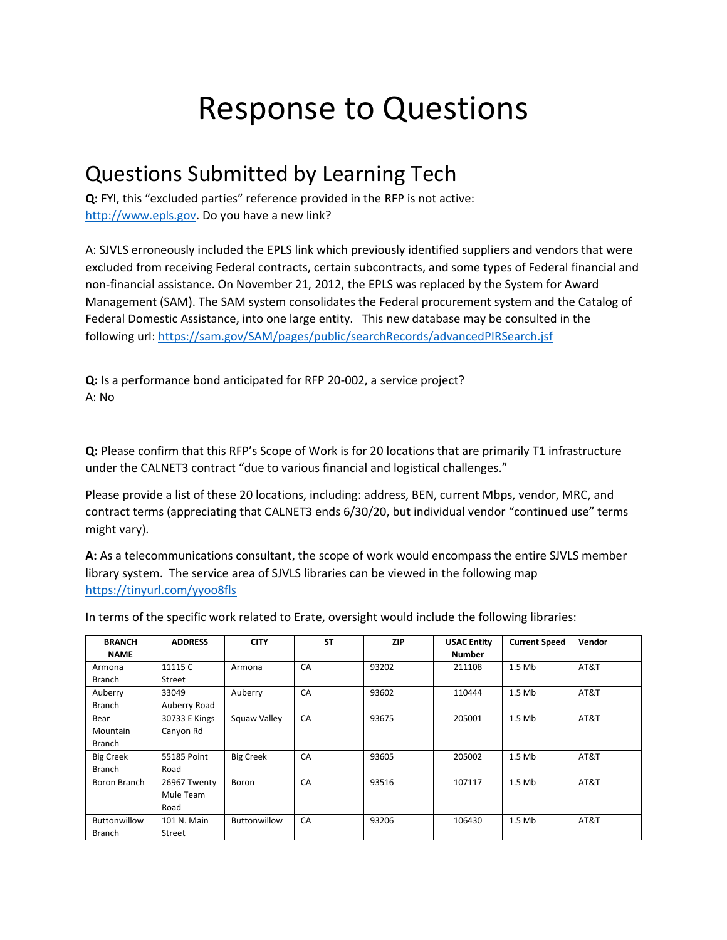## Response to Questions

## Questions Submitted by Learning Tech

**Q:** FYI, this "excluded parties" reference provided in the RFP is not active: [http://www.epls.gov.](http://www.epls.gov/) Do you have a new link?

A: SJVLS erroneously included the EPLS link which previously identified suppliers and vendors that were excluded from receiving Federal contracts, certain subcontracts, and some types of Federal financial and non-financial assistance. On November 21, 2012, the EPLS was replaced by the System for Award Management (SAM). The SAM system consolidates the Federal procurement system and the Catalog of Federal Domestic Assistance, into one large entity. This new database may be consulted in the following url:<https://sam.gov/SAM/pages/public/searchRecords/advancedPIRSearch.jsf>

**Q:** Is a performance bond anticipated for RFP 20-002, a service project? A: No

**Q:** Please confirm that this RFP's Scope of Work is for 20 locations that are primarily T1 infrastructure under the CALNET3 contract "due to various financial and logistical challenges."

Please provide a list of these 20 locations, including: address, BEN, current Mbps, vendor, MRC, and contract terms (appreciating that CALNET3 ends 6/30/20, but individual vendor "continued use" terms might vary).

**A:** As a telecommunications consultant, the scope of work would encompass the entire SJVLS member library system. The service area of SJVLS libraries can be viewed in the following map <https://tinyurl.com/yyoo8fls>

In terms of the specific work related to Erate, oversight would include the following libraries:

| <b>BRANCH</b>    | <b>ADDRESS</b> | <b>CITY</b>      | <b>ST</b> | <b>ZIP</b> | <b>USAC Entity</b> | <b>Current Speed</b> | Vendor |
|------------------|----------------|------------------|-----------|------------|--------------------|----------------------|--------|
| <b>NAME</b>      |                |                  |           |            | <b>Number</b>      |                      |        |
| Armona           | 11115 C        | Armona           | CA        | 93202      | 211108             | $1.5$ Mb             | AT&T   |
| Branch           | Street         |                  |           |            |                    |                      |        |
| Auberry          | 33049          | Auberry          | CA        | 93602      | 110444             | $1.5$ Mb             | AT&T   |
| Branch           | Auberry Road   |                  |           |            |                    |                      |        |
| Bear             | 30733 E Kings  | Squaw Valley     | CA        | 93675      | 205001             | $1.5$ Mb             | AT&T   |
| Mountain         | Canyon Rd      |                  |           |            |                    |                      |        |
| Branch           |                |                  |           |            |                    |                      |        |
| <b>Big Creek</b> | 55185 Point    | <b>Big Creek</b> | CA        | 93605      | 205002             | $1.5$ Mb             | AT&T   |
| Branch           | Road           |                  |           |            |                    |                      |        |
| Boron Branch     | 26967 Twenty   | Boron            | CA        | 93516      | 107117             | $1.5$ Mb             | AT&T   |
|                  | Mule Team      |                  |           |            |                    |                      |        |
|                  | Road           |                  |           |            |                    |                      |        |
| Buttonwillow     | 101 N. Main    | Buttonwillow     | CA        | 93206      | 106430             | $1.5$ Mb             | AT&T   |
| Branch           | Street         |                  |           |            |                    |                      |        |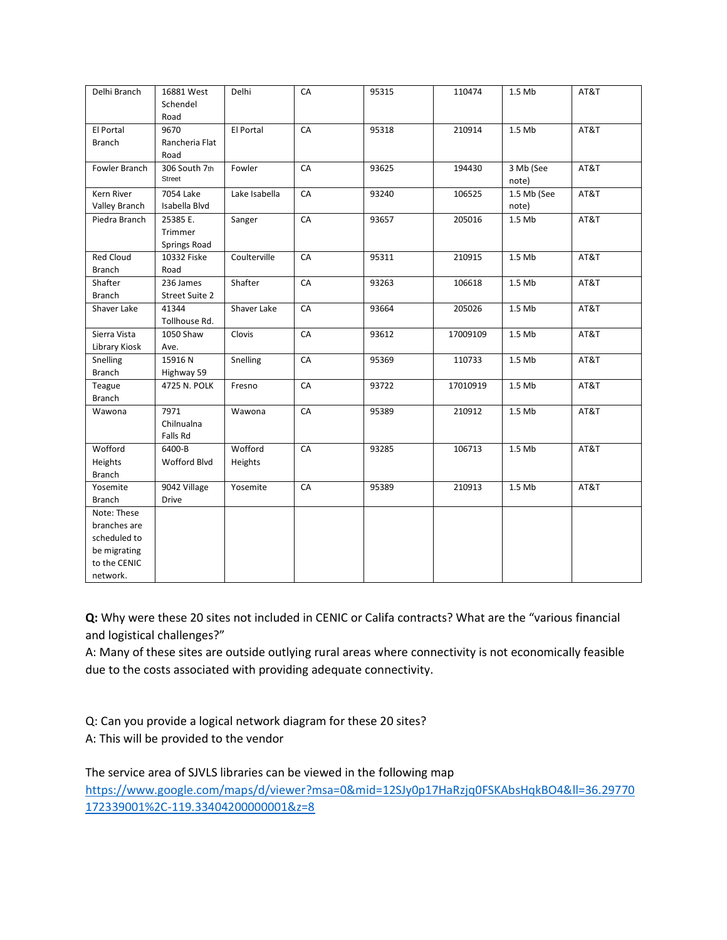| Delhi Branch                                                                            | 16881 West<br>Schendel<br>Road      | Delhi              | CA | 95315 | 110474   | 1.5 Mb               | AT&T |
|-----------------------------------------------------------------------------------------|-------------------------------------|--------------------|----|-------|----------|----------------------|------|
| El Portal<br><b>Branch</b>                                                              | 9670<br>Rancheria Flat<br>Road      | El Portal          | CA | 95318 | 210914   | 1.5 Mb               | AT&T |
| Fowler Branch                                                                           | 306 South 7th<br><b>Street</b>      | Fowler             | CA | 93625 | 194430   | 3 Mb (See<br>note)   | AT&T |
| Kern River<br>Valley Branch                                                             | 7054 Lake<br>Isabella Blvd          | Lake Isabella      | CA | 93240 | 106525   | 1.5 Mb (See<br>note) | AT&T |
| Piedra Branch                                                                           | 25385 E.<br>Trimmer<br>Springs Road | Sanger             | CA | 93657 | 205016   | 1.5 Mb               | AT&T |
| <b>Red Cloud</b><br><b>Branch</b>                                                       | 10332 Fiske<br>Road                 | Coulterville       | CA | 95311 | 210915   | 1.5 Mb               | AT&T |
| Shafter<br><b>Branch</b>                                                                | 236 James<br><b>Street Suite 2</b>  | Shafter            | CA | 93263 | 106618   | 1.5 Mb               | AT&T |
| Shaver Lake                                                                             | 41344<br>Tollhouse Rd.              | Shaver Lake        | CA | 93664 | 205026   | 1.5 Mb               | AT&T |
| Sierra Vista<br>Library Kiosk                                                           | 1050 Shaw<br>Ave.                   | Clovis             | CA | 93612 | 17009109 | 1.5 Mb               | AT&T |
| Snelling<br><b>Branch</b>                                                               | 15916N<br>Highway 59                | Snelling           | CA | 95369 | 110733   | 1.5 Mb               | AT&T |
| Teague<br><b>Branch</b>                                                                 | 4725 N. POLK                        | Fresno             | CA | 93722 | 17010919 | 1.5 Mb               | AT&T |
| Wawona                                                                                  | 7971<br>Chilnualna<br>Falls Rd      | Wawona             | CA | 95389 | 210912   | 1.5 Mb               | AT&T |
| Wofford<br>Heights<br><b>Branch</b>                                                     | 6400-B<br>Wofford Blvd              | Wofford<br>Heights | CA | 93285 | 106713   | 1.5 Mb               | AT&T |
| Yosemite<br><b>Branch</b>                                                               | 9042 Village<br><b>Drive</b>        | Yosemite           | CA | 95389 | 210913   | 1.5 Mb               | AT&T |
| Note: These<br>branches are<br>scheduled to<br>be migrating<br>to the CENIC<br>network. |                                     |                    |    |       |          |                      |      |

**Q:** Why were these 20 sites not included in CENIC or Califa contracts? What are the "various financial and logistical challenges?"

A: Many of these sites are outside outlying rural areas where connectivity is not economically feasible due to the costs associated with providing adequate connectivity.

Q: Can you provide a logical network diagram for these 20 sites? A: This will be provided to the vendor

The service area of SJVLS libraries can be viewed in the following map [https://www.google.com/maps/d/viewer?msa=0&mid=12SJy0p17HaRzjq0FSKAbsHqkBO4&ll=36.29770](https://www.google.com/maps/d/viewer?msa=0&mid=12SJy0p17HaRzjq0FSKAbsHqkBO4&ll=36.29770172339001%2C-119.33404200000001&z=8) [172339001%2C-119.33404200000001&z=8](https://www.google.com/maps/d/viewer?msa=0&mid=12SJy0p17HaRzjq0FSKAbsHqkBO4&ll=36.29770172339001%2C-119.33404200000001&z=8)